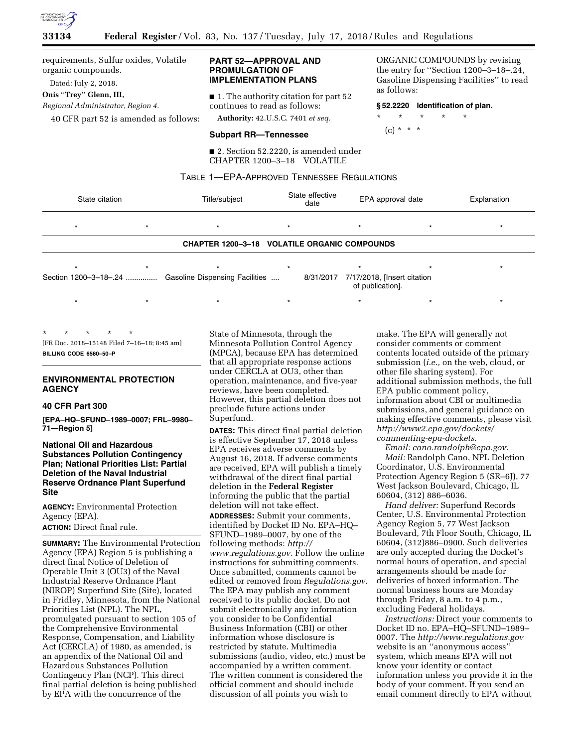

requirements, Sulfur oxides, Volatile organic compounds.

Dated: July 2, 2018.

**Onis** ''**Trey**'' **Glenn, III,** 

*Regional Administrator, Region 4.* 

40 CFR part 52 is amended as follows:

# **PART 52—APPROVAL AND PROMULGATION OF IMPLEMENTATION PLANS**

■ 1. The authority citation for part 52 continues to read as follows:

**Authority:** 42.U.S.C. 7401 *et seq.* 

# **Subpart RR—Tennessee**

■ 2. Section 52.2220, is amended under CHAPTER 1200–3–18 VOLATILE

ORGANIC COMPOUNDS by revising the entry for ''Section 1200–3–18–.24, Gasoline Dispensing Facilities'' to read as follows:

#### **§ 52.2220 Identification of plan.**

\* \* \* \* \*

$$
(c) * * * *
$$

TABLE 1—EPA-APPROVED TENNESSEE REGULATIONS

| State citation        |  | Title/subject                                       | State effective<br>date |           | EPA approval date                               |  | Explanation |
|-----------------------|--|-----------------------------------------------------|-------------------------|-----------|-------------------------------------------------|--|-------------|
| $\star$               |  |                                                     |                         |           | $\star$                                         |  |             |
|                       |  | <b>CHAPTER 1200-3-18 VOLATILE ORGANIC COMPOUNDS</b> |                         |           |                                                 |  |             |
|                       |  |                                                     |                         |           | $\star$                                         |  |             |
| Section 1200-3-18-.24 |  | Gasoline Dispensing Facilities                      |                         | 8/31/2017 | 7/17/2018, [Insert citation<br>of publication]. |  |             |
|                       |  |                                                     |                         |           | $\star$                                         |  |             |

\* \* \* \* \* [FR Doc. 2018–15148 Filed 7–16–18; 8:45 am] **BILLING CODE 6560–50–P** 

# **ENVIRONMENTAL PROTECTION AGENCY**

# **40 CFR Part 300**

**[EPA–HQ–SFUND–1989–0007; FRL–9980– 71—Region 5]** 

**National Oil and Hazardous Substances Pollution Contingency Plan; National Priorities List: Partial Deletion of the Naval Industrial Reserve Ordnance Plant Superfund Site** 

**AGENCY:** Environmental Protection Agency (EPA). **ACTION:** Direct final rule.

**SUMMARY:** The Environmental Protection Agency (EPA) Region 5 is publishing a direct final Notice of Deletion of Operable Unit 3 (OU3) of the Naval Industrial Reserve Ordnance Plant (NIROP) Superfund Site (Site), located in Fridley, Minnesota, from the National Priorities List (NPL). The NPL, promulgated pursuant to section 105 of the Comprehensive Environmental Response, Compensation, and Liability Act (CERCLA) of 1980, as amended, is an appendix of the National Oil and Hazardous Substances Pollution Contingency Plan (NCP). This direct final partial deletion is being published by EPA with the concurrence of the

State of Minnesota, through the Minnesota Pollution Control Agency (MPCA), because EPA has determined that all appropriate response actions under CERCLA at OU3, other than operation, maintenance, and five-year reviews, have been completed. However, this partial deletion does not preclude future actions under Superfund.

**DATES:** This direct final partial deletion is effective September 17, 2018 unless EPA receives adverse comments by August 16, 2018. If adverse comments are received, EPA will publish a timely withdrawal of the direct final partial deletion in the **Federal Register**  informing the public that the partial deletion will not take effect.

**ADDRESSES:** Submit your comments, identified by Docket ID No. EPA–HQ– SFUND–1989–0007, by one of the following methods: *[http://](http://www.regulations.gov) [www.regulations.gov.](http://www.regulations.gov)* Follow the online instructions for submitting comments. Once submitted, comments cannot be edited or removed from *Regulations.gov*. The EPA may publish any comment received to its public docket. Do not submit electronically any information you consider to be Confidential Business Information (CBI) or other information whose disclosure is restricted by statute. Multimedia submissions (audio, video, etc.) must be accompanied by a written comment. The written comment is considered the official comment and should include discussion of all points you wish to

make. The EPA will generally not consider comments or comment contents located outside of the primary submission (*i.e.,* on the web, cloud, or other file sharing system). For additional submission methods, the full EPA public comment policy, information about CBI or multimedia submissions, and general guidance on making effective comments, please visit *[http://www2.epa.gov/dockets/](http://www2.epa.gov/dockets/commenting-epa-dockets)  [commenting-epa-dockets.](http://www2.epa.gov/dockets/commenting-epa-dockets)* 

*Email: [cano.randolph@epa.gov.](mailto:cano.randolph@epa.gov)  Mail:* Randolph Cano, NPL Deletion Coordinator, U.S. Environmental Protection Agency Region 5 (SR–6J), 77 West Jackson Boulevard, Chicago, IL 60604, (312) 886–6036.

*Hand deliver:* Superfund Records Center, U.S. Environmental Protection Agency Region 5, 77 West Jackson Boulevard, 7th Floor South, Chicago, IL 60604, (312)886–0900. Such deliveries are only accepted during the Docket's normal hours of operation, and special arrangements should be made for deliveries of boxed information. The normal business hours are Monday through Friday, 8 a.m. to 4 p.m., excluding Federal holidays.

*Instructions:* Direct your comments to Docket ID no. EPA–HQ–SFUND–1989– 0007. The *<http://www.regulations.gov>* website is an ''anonymous access'' system, which means EPA will not know your identity or contact information unless you provide it in the body of your comment. If you send an email comment directly to EPA without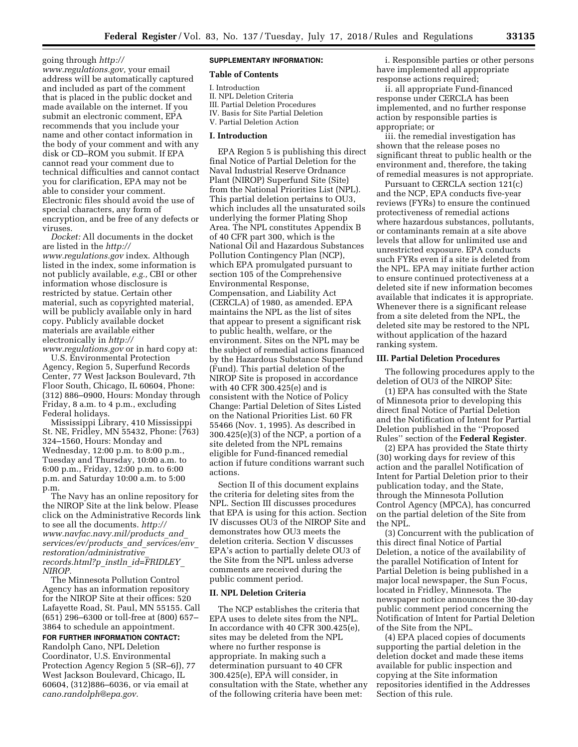going through *[http://](http://www.regulations.gov) [www.regulations.gov,](http://www.regulations.gov)* your email address will be automatically captured and included as part of the comment that is placed in the public docket and made available on the internet. If you submit an electronic comment, EPA recommends that you include your name and other contact information in the body of your comment and with any disk or CD–ROM you submit. If EPA cannot read your comment due to technical difficulties and cannot contact you for clarification, EPA may not be able to consider your comment. Electronic files should avoid the use of special characters, any form of encryption, and be free of any defects or viruses.

*Docket:* All documents in the docket are listed in the *[http://](http://www.regulations.gov) [www.regulations.gov](http://www.regulations.gov)* index. Although listed in the index, some information is not publicly available, *e.g.,* CBI or other information whose disclosure is restricted by statue. Certain other material, such as copyrighted material, will be publicly available only in hard copy. Publicly available docket materials are available either electronically in *[http://](http://www.regulations.gov) [www.regulations.gov](http://www.regulations.gov)* or in hard copy at:

U.S. Environmental Protection Agency, Region 5, Superfund Records Center, 77 West Jackson Boulevard, 7th Floor South, Chicago, IL 60604, Phone: (312) 886–0900, Hours: Monday through Friday, 8 a.m. to 4 p.m., excluding Federal holidays.

Mississippi Library, 410 Mississippi St. NE, Fridley, MN 55432, Phone: (763) 324–1560, Hours: Monday and Wednesday, 12:00 p.m. to 8:00 p.m., Tuesday and Thursday, 10:00 a.m. to 6:00 p.m., Friday, 12:00 p.m. to 6:00 p.m. and Saturday 10:00 a.m. to 5:00 p.m.

The Navy has an online repository for the NIROP Site at the link below. Please click on the Administrative Records link to see all the documents. *[http://](http://www.navfac.navy.mil/products_and_services/ev/products_and_services/env_restoration/administrative_records.html?p_instln_id=FRIDLEY_NIROP) [www.navfac.navy.mil/products](http://www.navfac.navy.mil/products_and_services/ev/products_and_services/env_restoration/administrative_records.html?p_instln_id=FRIDLEY_NIROP)*\_*and*\_ *[services/ev/products](http://www.navfac.navy.mil/products_and_services/ev/products_and_services/env_restoration/administrative_records.html?p_instln_id=FRIDLEY_NIROP)*\_*and*\_*services/env*\_ *[restoration/administrative](http://www.navfac.navy.mil/products_and_services/ev/products_and_services/env_restoration/administrative_records.html?p_instln_id=FRIDLEY_NIROP)*\_ *[records.html?p](http://www.navfac.navy.mil/products_and_services/ev/products_and_services/env_restoration/administrative_records.html?p_instln_id=FRIDLEY_NIROP)*\_*instln*\_*id=FRIDLEY*\_ *[NIROP.](http://www.navfac.navy.mil/products_and_services/ev/products_and_services/env_restoration/administrative_records.html?p_instln_id=FRIDLEY_NIROP)* 

The Minnesota Pollution Control Agency has an information repository for the NIROP Site at their offices: 520 Lafayette Road, St. Paul, MN 55155. Call (651) 296–6300 or toll-free at (800) 657– 3864 to schedule an appointment.

**FOR FURTHER INFORMATION CONTACT:**  Randolph Cano, NPL Deletion Coordinator, U.S. Environmental Protection Agency Region 5 (SR–6J), 77 West Jackson Boulevard, Chicago, IL 60604, (312)886–6036, or via email at *[cano.randolph@epa.gov.](mailto:cano.randolph@epa.gov)* 

# **SUPPLEMENTARY INFORMATION:**

# **Table of Contents**

I. Introduction

- II. NPL Deletion Criteria
- III. Partial Deletion Procedures IV. Basis for Site Partial Deletion
- V. Partial Deletion Action

#### **I. Introduction**

EPA Region 5 is publishing this direct final Notice of Partial Deletion for the Naval Industrial Reserve Ordnance Plant (NIROP) Superfund Site (Site) from the National Priorities List (NPL). This partial deletion pertains to OU3, which includes all the unsaturated soils underlying the former Plating Shop Area. The NPL constitutes Appendix B of 40 CFR part 300, which is the National Oil and Hazardous Substances Pollution Contingency Plan (NCP), which EPA promulgated pursuant to section 105 of the Comprehensive Environmental Response, Compensation, and Liability Act (CERCLA) of 1980, as amended. EPA maintains the NPL as the list of sites that appear to present a significant risk to public health, welfare, or the environment. Sites on the NPL may be the subject of remedial actions financed by the Hazardous Substance Superfund (Fund). This partial deletion of the NIROP Site is proposed in accordance with 40 CFR 300.425(e) and is consistent with the Notice of Policy Change: Partial Deletion of Sites Listed on the National Priorities List. 60 FR 55466 (Nov. 1, 1995). As described in 300.425(e)(3) of the NCP, a portion of a site deleted from the NPL remains eligible for Fund-financed remedial action if future conditions warrant such actions.

Section II of this document explains the criteria for deleting sites from the NPL. Section III discusses procedures that EPA is using for this action. Section IV discusses OU3 of the NIROP Site and demonstrates how OU3 meets the deletion criteria. Section V discusses EPA's action to partially delete OU3 of the Site from the NPL unless adverse comments are received during the public comment period.

## **II. NPL Deletion Criteria**

The NCP establishes the criteria that EPA uses to delete sites from the NPL. In accordance with 40 CFR 300.425(e), sites may be deleted from the NPL where no further response is appropriate. In making such a determination pursuant to 40 CFR 300.425(e), EPA will consider, in consultation with the State, whether any of the following criteria have been met:

i. Responsible parties or other persons have implemented all appropriate response actions required;

ii. all appropriate Fund-financed response under CERCLA has been implemented, and no further response action by responsible parties is appropriate; or

iii. the remedial investigation has shown that the release poses no significant threat to public health or the environment and, therefore, the taking of remedial measures is not appropriate.

Pursuant to CERCLA section 121(c) and the NCP, EPA conducts five-year reviews (FYRs) to ensure the continued protectiveness of remedial actions where hazardous substances, pollutants, or contaminants remain at a site above levels that allow for unlimited use and unrestricted exposure. EPA conducts such FYRs even if a site is deleted from the NPL. EPA may initiate further action to ensure continued protectiveness at a deleted site if new information becomes available that indicates it is appropriate. Whenever there is a significant release from a site deleted from the NPL, the deleted site may be restored to the NPL without application of the hazard ranking system.

#### **III. Partial Deletion Procedures**

The following procedures apply to the deletion of OU3 of the NIROP Site:

(1) EPA has consulted with the State of Minnesota prior to developing this direct final Notice of Partial Deletion and the Notification of Intent for Partial Deletion published in the ''Proposed Rules'' section of the **Federal Register**.

(2) EPA has provided the State thirty (30) working days for review of this action and the parallel Notification of Intent for Partial Deletion prior to their publication today, and the State, through the Minnesota Pollution Control Agency (MPCA), has concurred on the partial deletion of the Site from the NPL.

(3) Concurrent with the publication of this direct final Notice of Partial Deletion, a notice of the availability of the parallel Notification of Intent for Partial Deletion is being published in a major local newspaper, the Sun Focus, located in Fridley, Minnesota. The newspaper notice announces the 30-day public comment period concerning the Notification of Intent for Partial Deletion of the Site from the NPL.

(4) EPA placed copies of documents supporting the partial deletion in the deletion docket and made these items available for public inspection and copying at the Site information repositories identified in the Addresses Section of this rule.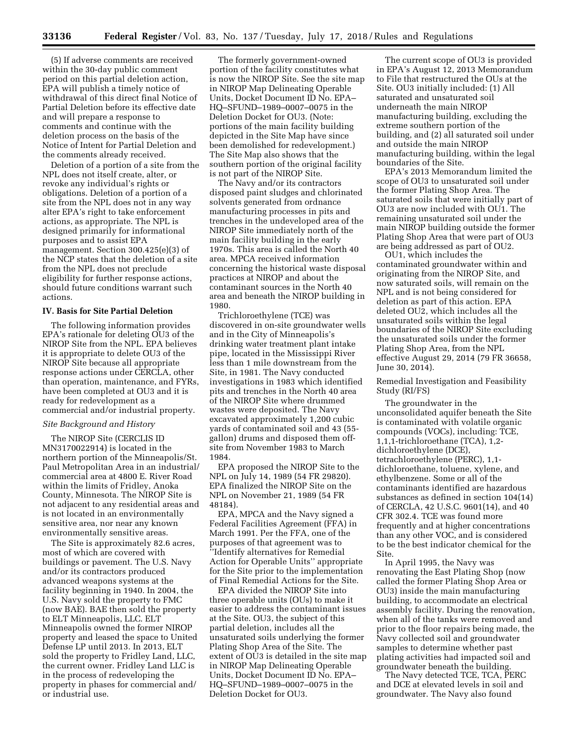(5) If adverse comments are received within the 30-day public comment period on this partial deletion action, EPA will publish a timely notice of withdrawal of this direct final Notice of Partial Deletion before its effective date and will prepare a response to comments and continue with the deletion process on the basis of the Notice of Intent for Partial Deletion and the comments already received.

Deletion of a portion of a site from the NPL does not itself create, alter, or revoke any individual's rights or obligations. Deletion of a portion of a site from the NPL does not in any way alter EPA's right to take enforcement actions, as appropriate. The NPL is designed primarily for informational purposes and to assist EPA management. Section 300.425(e)(3) of the NCP states that the deletion of a site from the NPL does not preclude eligibility for further response actions, should future conditions warrant such actions.

# **IV. Basis for Site Partial Deletion**

The following information provides EPA's rationale for deleting OU3 of the NIROP Site from the NPL. EPA believes it is appropriate to delete OU3 of the NIROP Site because all appropriate response actions under CERCLA, other than operation, maintenance, and FYRs, have been completed at OU3 and it is ready for redevelopment as a commercial and/or industrial property.

#### *Site Background and History*

The NIROP Site (CERCLIS ID MN3170022914) is located in the northern portion of the Minneapolis/St. Paul Metropolitan Area in an industrial/ commercial area at 4800 E. River Road within the limits of Fridley, Anoka County, Minnesota. The NIROP Site is not adjacent to any residential areas and is not located in an environmentally sensitive area, nor near any known environmentally sensitive areas.

The Site is approximately 82.6 acres, most of which are covered with buildings or pavement. The U.S. Navy and/or its contractors produced advanced weapons systems at the facility beginning in 1940. In 2004, the U.S. Navy sold the property to FMC (now BAE). BAE then sold the property to ELT Minneapolis, LLC. ELT Minneapolis owned the former NIROP property and leased the space to United Defense LP until 2013. In 2013, ELT sold the property to Fridley Land, LLC, the current owner. Fridley Land LLC is in the process of redeveloping the property in phases for commercial and/ or industrial use.

The formerly government-owned portion of the facility constitutes what is now the NIROP Site. See the site map in NIROP Map Delineating Operable Units, Docket Document ID No. EPA– HQ–SFUND–1989–0007–0075 in the Deletion Docket for OU3. (Note: portions of the main facility building depicted in the Site Map have since been demolished for redevelopment.) The Site Map also shows that the southern portion of the original facility is not part of the NIROP Site.

The Navy and/or its contractors disposed paint sludges and chlorinated solvents generated from ordnance manufacturing processes in pits and trenches in the undeveloped area of the NIROP Site immediately north of the main facility building in the early 1970s. This area is called the North 40 area. MPCA received information concerning the historical waste disposal practices at NIROP and about the contaminant sources in the North 40 area and beneath the NIROP building in 1980.

Trichloroethylene (TCE) was discovered in on-site groundwater wells and in the City of Minneapolis's drinking water treatment plant intake pipe, located in the Mississippi River less than 1 mile downstream from the Site, in 1981. The Navy conducted investigations in 1983 which identified pits and trenches in the North 40 area of the NIROP Site where drummed wastes were deposited. The Navy excavated approximately 1,200 cubic yards of contaminated soil and 43 (55 gallon) drums and disposed them offsite from November 1983 to March 1984.

EPA proposed the NIROP Site to the NPL on July 14, 1989 (54 FR 29820). EPA finalized the NIROP Site on the NPL on November 21, 1989 (54 FR 48184).

EPA, MPCA and the Navy signed a Federal Facilities Agreement (FFA) in March 1991. Per the FFA, one of the purposes of that agreement was to ''Identify alternatives for Remedial Action for Operable Units'' appropriate for the Site prior to the implementation of Final Remedial Actions for the Site.

EPA divided the NIROP Site into three operable units (OUs) to make it easier to address the contaminant issues at the Site. OU3, the subject of this partial deletion, includes all the unsaturated soils underlying the former Plating Shop Area of the Site. The extent of OU3 is detailed in the site map in NIROP Map Delineating Operable Units, Docket Document ID No. EPA– HQ–SFUND–1989–0007–0075 in the Deletion Docket for OU3.

The current scope of OU3 is provided in EPA's August 12, 2013 Memorandum to File that restructured the OUs at the Site. OU3 initially included: (1) All saturated and unsaturated soil underneath the main NIROP manufacturing building, excluding the extreme southern portion of the building, and (2) all saturated soil under and outside the main NIROP manufacturing building, within the legal boundaries of the Site.

EPA's 2013 Memorandum limited the scope of OU3 to unsaturated soil under the former Plating Shop Area. The saturated soils that were initially part of OU3 are now included with OU1. The remaining unsaturated soil under the main NIROP building outside the former Plating Shop Area that were part of OU3 are being addressed as part of OU2.

OU1, which includes the contaminated groundwater within and originating from the NIROP Site, and now saturated soils, will remain on the NPL and is not being considered for deletion as part of this action. EPA deleted OU2, which includes all the unsaturated soils within the legal boundaries of the NIROP Site excluding the unsaturated soils under the former Plating Shop Area, from the NPL effective August 29, 2014 (79 FR 36658, June 30, 2014).

### Remedial Investigation and Feasibility Study (RI/FS)

The groundwater in the unconsolidated aquifer beneath the Site is contaminated with volatile organic compounds (VOCs), including: TCE, 1,1,1-trichloroethane (TCA), 1,2 dichloroethylene (DCE), tetrachloroethylene (PERC), 1,1 dichloroethane, toluene, xylene, and ethylbenzene. Some or all of the contaminants identified are hazardous substances as defined in section 104(14) of CERCLA, 42 U.S.C. 9601(14), and 40 CFR 302.4. TCE was found more frequently and at higher concentrations than any other VOC, and is considered to be the best indicator chemical for the Site.

In April 1995, the Navy was renovating the East Plating Shop (now called the former Plating Shop Area or OU3) inside the main manufacturing building, to accommodate an electrical assembly facility. During the renovation, when all of the tanks were removed and prior to the floor repairs being made, the Navy collected soil and groundwater samples to determine whether past plating activities had impacted soil and groundwater beneath the building.

The Navy detected TCE, TCA, PERC and DCE at elevated levels in soil and groundwater. The Navy also found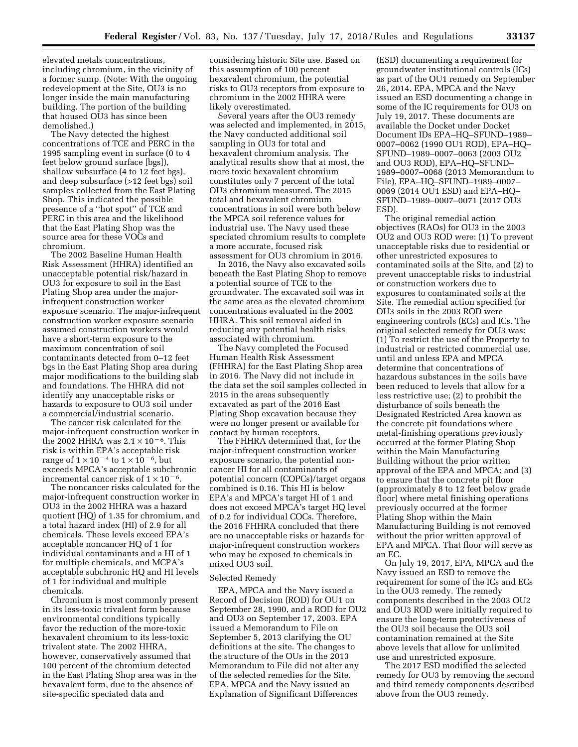elevated metals concentrations, including chromium, in the vicinity of a former sump. (Note: With the ongoing redevelopment at the Site, OU3 is no longer inside the main manufacturing building. The portion of the building that housed OU3 has since been demolished.)

The Navy detected the highest concentrations of TCE and PERC in the 1995 sampling event in surface (0 to 4 feet below ground surface [bgs]), shallow subsurface (4 to 12 feet bgs), and deep subsurface (>12 feet bgs) soil samples collected from the East Plating Shop. This indicated the possible presence of a ''hot spot'' of TCE and PERC in this area and the likelihood that the East Plating Shop was the source area for these VOCs and chromium.

The 2002 Baseline Human Health Risk Assessment (HHRA) identified an unacceptable potential risk/hazard in OU3 for exposure to soil in the East Plating Shop area under the majorinfrequent construction worker exposure scenario. The major-infrequent construction worker exposure scenario assumed construction workers would have a short-term exposure to the maximum concentration of soil contaminants detected from 0–12 feet bgs in the East Plating Shop area during major modifications to the building slab and foundations. The HHRA did not identify any unacceptable risks or hazards to exposure to OU3 soil under a commercial/industrial scenario.

The cancer risk calculated for the major-infrequent construction worker in the 2002 HHRA was  $2.1 \times 10^{-6}$ . This risk is within EPA's acceptable risk range of  $1 \times 10^{-4}$  to  $1 \times 10^{-6}$ , but exceeds MPCA's acceptable subchronic incremental cancer risk of  $1 \times 10^{-6}$ .

The noncancer risks calculated for the major-infrequent construction worker in OU3 in the 2002 HHRA was a hazard quotient (HQ) of 1.35 for chromium, and a total hazard index (HI) of 2.9 for all chemicals. These levels exceed EPA's acceptable noncancer HQ of 1 for individual contaminants and a HI of 1 for multiple chemicals, and MCPA's acceptable subchronic HQ and HI levels of 1 for individual and multiple chemicals.

Chromium is most commonly present in its less-toxic trivalent form because environmental conditions typically favor the reduction of the more-toxic hexavalent chromium to its less-toxic trivalent state. The 2002 HHRA, however, conservatively assumed that 100 percent of the chromium detected in the East Plating Shop area was in the hexavalent form, due to the absence of site-specific speciated data and

considering historic Site use. Based on this assumption of 100 percent hexavalent chromium, the potential risks to OU3 receptors from exposure to chromium in the 2002 HHRA were likely overestimated.

Several years after the OU3 remedy was selected and implemented, in 2015, the Navy conducted additional soil sampling in OU3 for total and hexavalent chromium analysis. The analytical results show that at most, the more toxic hexavalent chromium constitutes only 7 percent of the total OU3 chromium measured. The 2015 total and hexavalent chromium concentrations in soil were both below the MPCA soil reference values for industrial use. The Navy used these speciated chromium results to complete a more accurate, focused risk assessment for OU3 chromium in 2016.

In 2016, the Navy also excavated soils beneath the East Plating Shop to remove a potential source of TCE to the groundwater. The excavated soil was in the same area as the elevated chromium concentrations evaluated in the 2002 HHRA. This soil removal aided in reducing any potential health risks associated with chromium.

The Navy completed the Focused Human Health Risk Assessment (FHHRA) for the East Plating Shop area in 2016. The Navy did not include in the data set the soil samples collected in 2015 in the areas subsequently excavated as part of the 2016 East Plating Shop excavation because they were no longer present or available for contact by human receptors.

The FHHRA determined that, for the major-infrequent construction worker exposure scenario, the potential noncancer HI for all contaminants of potential concern (COPCs)/target organs combined is 0.16. This HI is below EPA's and MPCA's target HI of 1 and does not exceed MPCA's target HQ level of 0.2 for individual COCs. Therefore, the 2016 FHHRA concluded that there are no unacceptable risks or hazards for major-infrequent construction workers who may be exposed to chemicals in mixed OU3 soil.

#### Selected Remedy

EPA, MPCA and the Navy issued a Record of Decision (ROD) for OU1 on September 28, 1990, and a ROD for OU2 and OU3 on September 17, 2003. EPA issued a Memorandum to File on September 5, 2013 clarifying the OU definitions at the site. The changes to the structure of the OUs in the 2013 Memorandum to File did not alter any of the selected remedies for the Site. EPA, MPCA and the Navy issued an Explanation of Significant Differences

(ESD) documenting a requirement for groundwater institutional controls (ICs) as part of the OU1 remedy on September 26, 2014. EPA, MPCA and the Navy issued an ESD documenting a change in some of the IC requirements for OU3 on July 19, 2017. These documents are available the Docket under Docket Document IDs EPA–HQ–SFUND–1989– 0007–0062 (1990 OU1 ROD), EPA–HQ– SFUND–1989–0007–0063 (2003 OU2 and OU3 ROD), EPA–HQ–SFUND– 1989–0007–0068 (2013 Memorandum to File), EPA–HQ–SFUND–1989–0007– 0069 (2014 OU1 ESD) and EPA–HQ– SFUND–1989–0007–0071 (2017 OU3 ESD).

The original remedial action objectives (RAOs) for OU3 in the 2003 OU2 and OU3 ROD were: (1) To prevent unacceptable risks due to residential or other unrestricted exposures to contaminated soils at the Site, and (2) to prevent unacceptable risks to industrial or construction workers due to exposures to contaminated soils at the Site. The remedial action specified for OU3 soils in the 2003 ROD were engineering controls (ECs) and ICs. The original selected remedy for OU3 was: (1) To restrict the use of the Property to industrial or restricted commercial use, until and unless EPA and MPCA determine that concentrations of hazardous substances in the soils have been reduced to levels that allow for a less restrictive use; (2) to prohibit the disturbance of soils beneath the Designated Restricted Area known as the concrete pit foundations where metal-finishing operations previously occurred at the former Plating Shop within the Main Manufacturing Building without the prior written approval of the EPA and MPCA; and (3) to ensure that the concrete pit floor (approximately 8 to 12 feet below grade floor) where metal finishing operations previously occurred at the former Plating Shop within the Main Manufacturing Building is not removed without the prior written approval of EPA and MPCA. That floor will serve as an EC.

On July 19, 2017, EPA, MPCA and the Navy issued an ESD to remove the requirement for some of the ICs and ECs in the OU3 remedy. The remedy components described in the 2003 OU2 and OU3 ROD were initially required to ensure the long-term protectiveness of the OU3 soil because the OU3 soil contamination remained at the Site above levels that allow for unlimited use and unrestricted exposure.

The 2017 ESD modified the selected remedy for OU3 by removing the second and third remedy components described above from the OU3 remedy.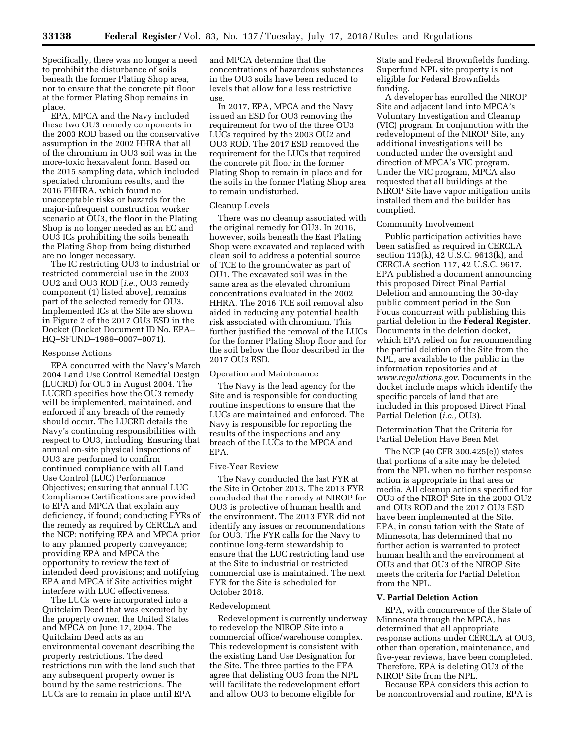Specifically, there was no longer a need to prohibit the disturbance of soils beneath the former Plating Shop area, nor to ensure that the concrete pit floor at the former Plating Shop remains in place.

EPA, MPCA and the Navy included these two OU3 remedy components in the 2003 ROD based on the conservative assumption in the 2002 HHRA that all of the chromium in OU3 soil was in the more-toxic hexavalent form. Based on the 2015 sampling data, which included speciated chromium results, and the 2016 FHHRA, which found no unacceptable risks or hazards for the major-infrequent construction worker scenario at OU3, the floor in the Plating Shop is no longer needed as an EC and OU3 ICs prohibiting the soils beneath the Plating Shop from being disturbed are no longer necessary.

The IC restricting OU3 to industrial or restricted commercial use in the 2003 OU2 and OU3 ROD [*i.e.,* OU3 remedy component (1) listed above], remains part of the selected remedy for OU3. Implemented ICs at the Site are shown in Figure 2 of the 2017 OU3 ESD in the Docket (Docket Document ID No. EPA– HQ–SFUND–1989–0007–0071).

#### Response Actions

EPA concurred with the Navy's March 2004 Land Use Control Remedial Design (LUCRD) for OU3 in August 2004. The LUCRD specifies how the OU3 remedy will be implemented, maintained, and enforced if any breach of the remedy should occur. The LUCRD details the Navy's continuing responsibilities with respect to OU3, including: Ensuring that annual on-site physical inspections of OU3 are performed to confirm continued compliance with all Land Use Control (LUC) Performance Objectives; ensuring that annual LUC Compliance Certifications are provided to EPA and MPCA that explain any deficiency, if found; conducting FYRs of the remedy as required by CERCLA and the NCP; notifying EPA and MPCA prior to any planned property conveyance; providing EPA and MPCA the opportunity to review the text of intended deed provisions; and notifying EPA and MPCA if Site activities might interfere with LUC effectiveness.

The LUCs were incorporated into a Quitclaim Deed that was executed by the property owner, the United States and MPCA on June 17, 2004. The Quitclaim Deed acts as an environmental covenant describing the property restrictions. The deed restrictions run with the land such that any subsequent property owner is bound by the same restrictions. The LUCs are to remain in place until EPA

and MPCA determine that the concentrations of hazardous substances in the OU3 soils have been reduced to levels that allow for a less restrictive use.

In 2017, EPA, MPCA and the Navy issued an ESD for OU3 removing the requirement for two of the three OU3 LUCs required by the 2003 OU2 and OU3 ROD. The 2017 ESD removed the requirement for the LUCs that required the concrete pit floor in the former Plating Shop to remain in place and for the soils in the former Plating Shop area to remain undisturbed.

#### Cleanup Levels

There was no cleanup associated with the original remedy for OU3. In 2016, however, soils beneath the East Plating Shop were excavated and replaced with clean soil to address a potential source of TCE to the groundwater as part of OU1. The excavated soil was in the same area as the elevated chromium concentrations evaluated in the 2002 HHRA. The 2016 TCE soil removal also aided in reducing any potential health risk associated with chromium. This further justified the removal of the LUCs for the former Plating Shop floor and for the soil below the floor described in the 2017 OU3 ESD.

## Operation and Maintenance

The Navy is the lead agency for the Site and is responsible for conducting routine inspections to ensure that the LUCs are maintained and enforced. The Navy is responsible for reporting the results of the inspections and any breach of the LUCs to the MPCA and EPA.

#### Five-Year Review

The Navy conducted the last FYR at the Site in October 2013. The 2013 FYR concluded that the remedy at NIROP for OU3 is protective of human health and the environment. The 2013 FYR did not identify any issues or recommendations for OU3. The FYR calls for the Navy to continue long-term stewardship to ensure that the LUC restricting land use at the Site to industrial or restricted commercial use is maintained. The next FYR for the Site is scheduled for October 2018.

#### Redevelopment

Redevelopment is currently underway to redevelop the NIROP Site into a commercial office/warehouse complex. This redevelopment is consistent with the existing Land Use Designation for the Site. The three parties to the FFA agree that delisting OU3 from the NPL will facilitate the redevelopment effort and allow OU3 to become eligible for

State and Federal Brownfields funding. Superfund NPL site property is not eligible for Federal Brownfields funding.

A developer has enrolled the NIROP Site and adjacent land into MPCA's Voluntary Investigation and Cleanup (VIC) program. In conjunction with the redevelopment of the NIROP Site, any additional investigations will be conducted under the oversight and direction of MPCA's VIC program. Under the VIC program, MPCA also requested that all buildings at the NIROP Site have vapor mitigation units installed them and the builder has complied.

#### Community Involvement

Public participation activities have been satisfied as required in CERCLA section 113(k), 42 U.S.C. 9613(k), and CERCLA section 117, 42 U.S.C. 9617. EPA published a document announcing this proposed Direct Final Partial Deletion and announcing the 30-day public comment period in the Sun Focus concurrent with publishing this partial deletion in the **Federal Register**. Documents in the deletion docket, which EPA relied on for recommending the partial deletion of the Site from the NPL, are available to the public in the information repositories and at *[www.regulations.gov.](http://www.regulations.gov)* Documents in the docket include maps which identify the specific parcels of land that are included in this proposed Direct Final Partial Deletion (*i.e.,* OU3).

Determination That the Criteria for Partial Deletion Have Been Met

The NCP (40 CFR 300.425(e)) states that portions of a site may be deleted from the NPL when no further response action is appropriate in that area or media. All cleanup actions specified for OU3 of the NIROP Site in the 2003 OU2 and OU3 ROD and the 2017 OU3 ESD have been implemented at the Site. EPA, in consultation with the State of Minnesota, has determined that no further action is warranted to protect human health and the environment at OU3 and that OU3 of the NIROP Site meets the criteria for Partial Deletion from the NPL.

#### **V. Partial Deletion Action**

EPA, with concurrence of the State of Minnesota through the MPCA, has determined that all appropriate response actions under CERCLA at OU3, other than operation, maintenance, and five-year reviews, have been completed. Therefore, EPA is deleting OU3 of the NIROP Site from the NPL.

Because EPA considers this action to be noncontroversial and routine, EPA is